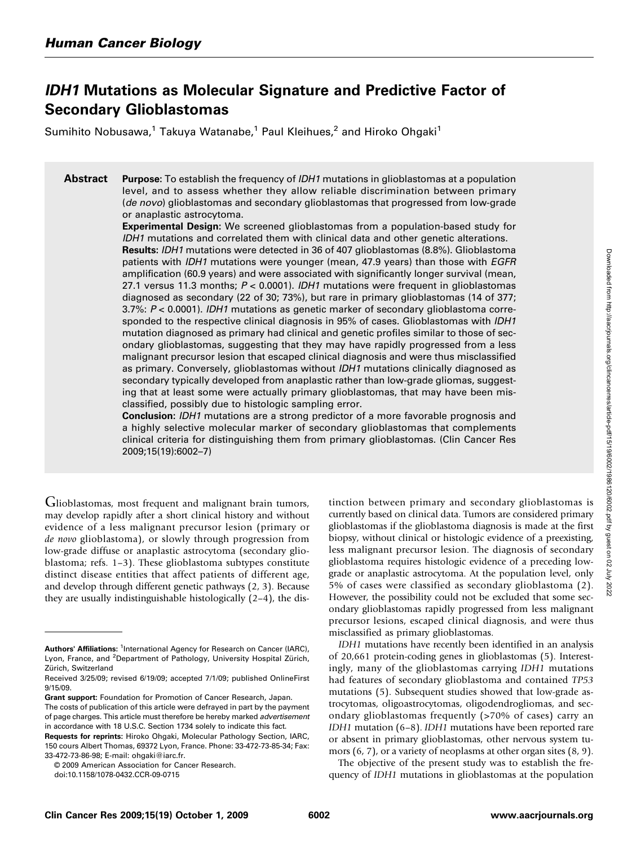# IDH1 Mutations as Molecular Signature and Predictive Factor of Secondary Glioblastomas

Sumihito Nobusawa,<sup>1</sup> Takuya Watanabe,<sup>1</sup> Paul Kleihues,<sup>2</sup> and Hiroko Ohgaki<sup>1</sup>

**Abstract** Purpose: To establish the frequency of *IDH1* mutations in glioblastomas at a population level, and to assess whether they allow reliable discrimination between primary (de novo) glioblastomas and secondary glioblastomas that progressed from low-grade or anaplastic astrocytoma.

> Experimental Design: We screened glioblastomas from a population-based study for IDH1 mutations and correlated them with clinical data and other genetic alterations.

> Results: IDH1 mutations were detected in 36 of 407 glioblastomas (8.8%). Glioblastoma patients with *IDH1* mutations were younger (mean, 47.9 years) than those with *EGFR* amplification (60.9 years) and were associated with significantly longer survival (mean, 27.1 versus 11.3 months;  $P < 0.0001$ ). IDH1 mutations were frequent in glioblastomas diagnosed as secondary (22 of 30; 73%), but rare in primary glioblastomas (14 of 377; 3.7%:  $P < 0.0001$ ). IDH1 mutations as genetic marker of secondary glioblastoma corresponded to the respective clinical diagnosis in 95% of cases. Glioblastomas with *IDH1* mutation diagnosed as primary had clinical and genetic profiles similar to those of secondary glioblastomas, suggesting that they may have rapidly progressed from a less malignant precursor lesion that escaped clinical diagnosis and were thus misclassified as primary. Conversely, glioblastomas without IDH1 mutations clinically diagnosed as secondary typically developed from anaplastic rather than low-grade gliomas, suggesting that at least some were actually primary glioblastomas, that may have been misclassified, possibly due to histologic sampling error.

> Conclusion: IDH1 mutations are a strong predictor of a more favorable prognosis and a highly selective molecular marker of secondary glioblastomas that complements clinical criteria for distinguishing them from primary glioblastomas. (Clin Cancer Res 2009;15(19):6002–7)

Glioblastomas, most frequent and malignant brain tumors, may develop rapidly after a short clinical history and without evidence of a less malignant precursor lesion (primary or de novo glioblastoma), or slowly through progression from low-grade diffuse or anaplastic astrocytoma (secondary glioblastoma; refs. 1–3). These glioblastoma subtypes constitute distinct disease entities that affect patients of different age, and develop through different genetic pathways (2, 3). Because they are usually indistinguishable histologically (2–4), the dis-

Grant support: Foundation for Promotion of Cancer Research, Japan.

© 2009 American Association for Cancer Research.

tinction between primary and secondary glioblastomas is currently based on clinical data. Tumors are considered primary glioblastomas if the glioblastoma diagnosis is made at the first biopsy, without clinical or histologic evidence of a preexisting, less malignant precursor lesion. The diagnosis of secondary glioblastoma requires histologic evidence of a preceding lowgrade or anaplastic astrocytoma. At the population level, only 5% of cases were classified as secondary glioblastoma (2). However, the possibility could not be excluded that some secondary glioblastomas rapidly progressed from less malignant precursor lesions, escaped clinical diagnosis, and were thus misclassified as primary glioblastomas.

IDH1 mutations have recently been identified in an analysis of 20,661 protein-coding genes in glioblastomas (5). Interestingly, many of the glioblastomas carrying IDH1 mutations had features of secondary glioblastoma and contained TP53 mutations (5). Subsequent studies showed that low-grade astrocytomas, oligoastrocytomas, oligodendrogliomas, and secondary glioblastomas frequently (>70% of cases) carry an IDH1 mutation (6–8). IDH1 mutations have been reported rare or absent in primary glioblastomas, other nervous system tumors (6, 7), or a variety of neoplasms at other organ sites (8, 9).

The objective of the present study was to establish the frequency of IDH1 mutations in glioblastomas at the population

Authors' Affiliations: <sup>1</sup>International Agency for Research on Cancer (IARC), Lyon, France, and <sup>2</sup>Department of Pathology, University Hospital Zürich, Zürich, Switzerland

Received 3/25/09; revised 6/19/09; accepted 7/1/09; published OnlineFirst 9/15/09.

The costs of publication of this article were defrayed in part by the payment of page charges. This article must therefore be hereby marked *advertisement* in accordance with 18 U.S.C. Section 1734 solely to indicate this fact.

Requests for reprints: Hiroko Ohgaki, Molecular Pathology Section, IARC, 150 cours Albert Thomas, 69372 Lyon, France. Phone: 33-472-73-85-34; Fax: 33-472-73-86-98; E-mail: ohgaki@iarc.fr.

doi:10.1158/1078-0432.CCR-09-0715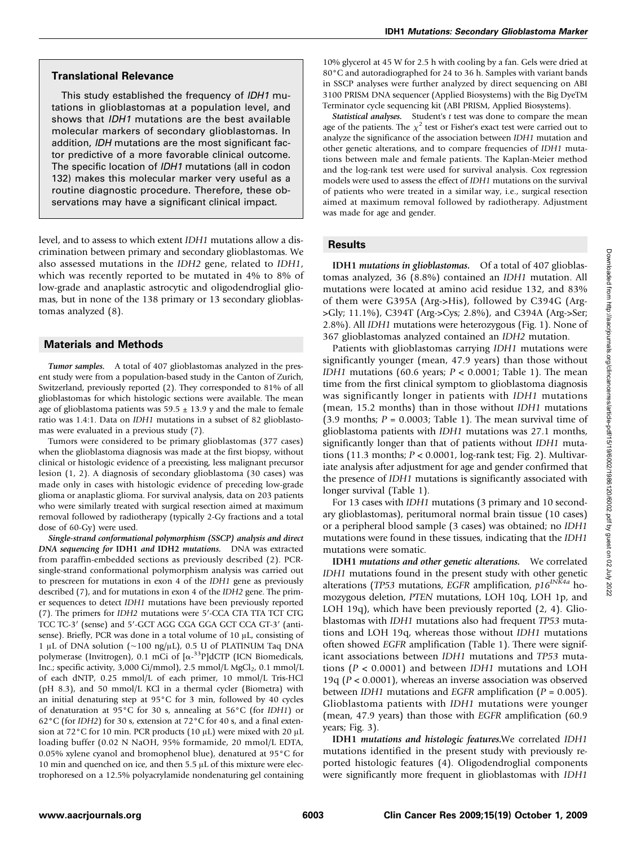#### Translational Relevance

This study established the frequency of IDH1 mutations in glioblastomas at a population level, and shows that IDH1 mutations are the best available molecular markers of secondary glioblastomas. In addition, IDH mutations are the most significant factor predictive of a more favorable clinical outcome. The specific location of IDH1 mutations (all in codon 132) makes this molecular marker very useful as a routine diagnostic procedure. Therefore, these observations may have a significant clinical impact.

level, and to assess to which extent IDH1 mutations allow a discrimination between primary and secondary glioblastomas. We also assessed mutations in the IDH2 gene, related to IDH1, which was recently reported to be mutated in 4% to 8% of low-grade and anaplastic astrocytic and oligodendroglial gliomas, but in none of the 138 primary or 13 secondary glioblastomas analyzed (8).

#### Materials and Methods

Tumor samples. A total of 407 glioblastomas analyzed in the present study were from a population-based study in the Canton of Zurich, Switzerland, previously reported (2). They corresponded to 81% of all glioblastomas for which histologic sections were available. The mean age of glioblastoma patients was  $59.5 \pm 13.9$  y and the male to female ratio was 1.4:1. Data on IDH1 mutations in a subset of 82 glioblastomas were evaluated in a previous study (7).

Tumors were considered to be primary glioblastomas (377 cases) when the glioblastoma diagnosis was made at the first biopsy, without clinical or histologic evidence of a preexisting, less malignant precursor lesion (1, 2). A diagnosis of secondary glioblastoma (30 cases) was made only in cases with histologic evidence of preceding low-grade glioma or anaplastic glioma. For survival analysis, data on 203 patients who were similarly treated with surgical resection aimed at maximum removal followed by radiotherapy (typically 2-Gy fractions and a total dose of 60-Gy) were used.

Single-strand conformational polymorphism (SSCP) analysis and direct DNA sequencing for IDH1 and IDH2 mutations. DNA was extracted from paraffin-embedded sections as previously described (2). PCRsingle-strand conformational polymorphism analysis was carried out to prescreen for mutations in exon 4 of the IDH1 gene as previously described (7), and for mutations in exon 4 of the IDH2 gene. The primer sequences to detect IDH1 mutations have been previously reported (7). The primers for IDH2 mutations were 5′-CCA CTA TTA TCT CTG TCC TC-3' (sense) and 5'-GCT AGG CGA GGA GCT CCA GT-3' (antisense). Briefly, PCR was done in a total volume of 10 μL, consisting of 1 μL of DNA solution (∼100 ng/μL), 0.5 U of PLATINUM Taq DNA polymerase (Invitrogen), 0.1 mCi of  $\left[\alpha^{-33}P\right]$ dCTP (ICN Biomedicals, Inc.; specific activity, 3,000 Ci/mmol), 2.5 mmol/L MgCl<sub>2</sub>, 0.1 mmol/L of each dNTP, 0.25 mmol/L of each primer, 10 mmol/L Tris-HCl (pH 8.3), and 50 mmol/L KCl in a thermal cycler (Biometra) with an initial denaturing step at 95°C for 3 min, followed by 40 cycles of denaturation at 95°C for 30 s, annealing at 56°C (for IDH1) or 62°C (for IDH2) for 30 s, extension at 72°C for 40 s, and a final extension at 72°C for 10 min. PCR products (10 μL) were mixed with 20 μL loading buffer (0.02 N NaOH, 95% formamide, 20 mmol/L EDTA, 0.05% xylene cyanol and bromophenol blue), denatured at 95°C for 10 min and quenched on ice, and then  $5.5 \mu L$  of this mixture were electrophoresed on a 12.5% polyacrylamide nondenaturing gel containing 10% glycerol at 45 W for 2.5 h with cooling by a fan. Gels were dried at 80°C and autoradiographed for 24 to 36 h. Samples with variant bands in SSCP analyses were further analyzed by direct sequencing on ABI 3100 PRISM DNA sequencer (Applied Biosystems) with the Big DyeTM Terminator cycle sequencing kit (ABI PRISM, Applied Biosystems).

Statistical analyses. Student's t test was done to compare the mean age of the patients. The  $\chi^2$  test or Fisher's exact test were carried out to analyze the significance of the association between IDH1 mutation and other genetic alterations, and to compare frequencies of IDH1 mutations between male and female patients. The Kaplan-Meier method and the log-rank test were used for survival analysis. Cox regression models were used to assess the effect of IDH1 mutations on the survival of patients who were treated in a similar way, i.e., surgical resection aimed at maximum removal followed by radiotherapy. Adjustment was made for age and gender.

## **Results**

IDH1 mutations in glioblastomas. Of a total of 407 glioblastomas analyzed, 36 (8.8%) contained an IDH1 mutation. All mutations were located at amino acid residue 132, and 83% of them were G395A (Arg->His), followed by C394G (Arg- >Gly; 11.1%), C394T(Arg->Cys; 2.8%), and C394A (Arg->Ser; 2.8%). All IDH1 mutations were heterozygous (Fig. 1). None of 367 glioblastomas analyzed contained an IDH2 mutation.

Patients with glioblastomas carrying IDH1 mutations were significantly younger (mean, 47.9 years) than those without IDH1 mutations (60.6 years;  $P < 0.0001$ ; Table 1). The mean time from the first clinical symptom to glioblastoma diagnosis was significantly longer in patients with IDH1 mutations (mean, 15.2 months) than in those without IDH1 mutations (3.9 months;  $P = 0.0003$ ; Table 1). The mean survival time of glioblastoma patients with IDH1 mutations was 27.1 months, significantly longer than that of patients without IDH1 mutations (11.3 months;  $P < 0.0001$ , log-rank test; Fig. 2). Multivariate analysis after adjustment for age and gender confirmed that the presence of IDH1 mutations is significantly associated with longer survival (Table 1).

For 13 cases with IDH1 mutations (3 primary and 10 secondary glioblastomas), peritumoral normal brain tissue (10 cases) or a peripheral blood sample (3 cases) was obtained; no IDH1 mutations were found in these tissues, indicating that the IDH1 mutations were somatic.

IDH1 mutations and other genetic alterations. We correlated IDH1 mutations found in the present study with other genetic alterations (TP53 mutations, EGFR amplification,  $p16^{INK4a}$  homozygous deletion, PTEN mutations, LOH 10q, LOH 1p, and LOH 19q), which have been previously reported (2, 4). Glioblastomas with IDH1 mutations also had frequent TP53 mutations and LOH 19q, whereas those without IDH1 mutations often showed EGFR amplification (Table 1). There were significant associations between IDH1 mutations and TP53 mutations (P < 0.0001) and between IDH1 mutations and LOH 19q ( $P < 0.0001$ ), whereas an inverse association was observed between IDH1 mutations and EGFR amplification ( $P = 0.005$ ). Glioblastoma patients with IDH1 mutations were younger (mean, 47.9 years) than those with EGFR amplification (60.9 years; Fig. 3).

IDH1 mutations and histologic features.We correlated IDH1 mutations identified in the present study with previously reported histologic features (4). Oligodendroglial components were significantly more frequent in glioblastomas with IDH1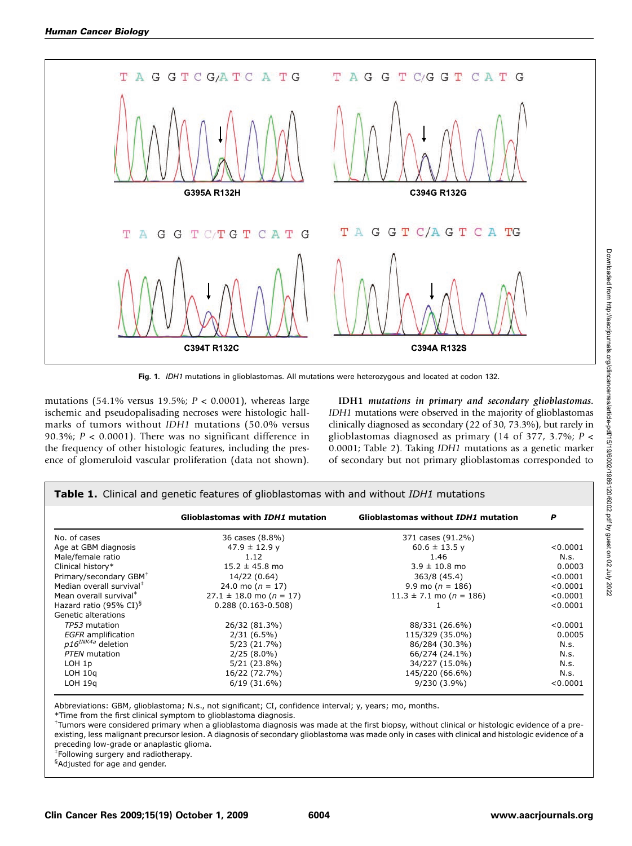

Fig. 1. IDH1 mutations in glioblastomas. All mutations were heterozygous and located at codon 132.

mutations (54.1% versus 19.5%;  $P < 0.0001$ ), whereas large ischemic and pseudopalisading necroses were histologic hallmarks of tumors without IDH1 mutations (50.0% versus 90.3%;  $P < 0.0001$ ). There was no significant difference in the frequency of other histologic features, including the presence of glomeruloid vascular proliferation (data not shown).

IDH1 mutations in primary and secondary glioblastomas. IDH1 mutations were observed in the majority of glioblastomas clinically diagnosed as secondary (22 of 30, 73.3%), but rarely in glioblastomas diagnosed as primary (14 of 377, 3.7%;  $P \leq$ 0.0001; Table 2). Taking IDH1 mutations as a genetic marker of secondary but not primary glioblastomas corresponded to

|                                      | Glioblastomas with IDH1 mutation | Glioblastomas without IDH1 mutation | P        |
|--------------------------------------|----------------------------------|-------------------------------------|----------|
| No. of cases                         | 36 cases (8.8%)                  | 371 cases (91.2%)                   |          |
| Age at GBM diagnosis                 | $47.9 \pm 12.9$ y                | $60.6 \pm 13.5$ y                   | < 0.0001 |
| Male/female ratio                    | 1.12                             | 1.46                                | N.s.     |
| Clinical history*                    | $15.2 \pm 45.8$ mo               | $3.9 \pm 10.8$ mo                   | 0.0003   |
| Primary/secondary GBM <sup>+</sup>   | 14/22 (0.64)                     | 363/8 (45.4)                        | < 0.0001 |
| Median overall survival <sup>#</sup> | 24.0 mo $(n = 17)$               | 9.9 mo ( $n = 186$ )                | < 0.0001 |
| Mean overall survival <sup>#</sup>   | $27.1 \pm 18.0$ mo (n = 17)      | $11.3 \pm 7.1$ mo (n = 186)         | < 0.0001 |
| Hazard ratio (95% CI) <sup>§</sup>   | $0.288(0.163 - 0.508)$           |                                     | < 0.0001 |
| Genetic alterations                  |                                  |                                     |          |
| TP53 mutation                        | 26/32 (81.3%)                    | 88/331 (26.6%)                      | < 0.0001 |
| <b>EGFR</b> amplification            | $2/31(6.5\%)$                    | 115/329 (35.0%)                     | 0.0005   |
| $p16^{INK4a}$ deletion               | 5/23(21.7%)                      | 86/284 (30.3%)                      | N.s.     |
| PTEN mutation                        | $2/25(8.0\%)$                    | 66/274 (24.1%)                      | N.s.     |
| LOH 1p                               | $5/21(23.8\%)$                   | 34/227 (15.0%)                      | N.s.     |
| $LOH$ 10 $q$                         | 16/22 (72.7%)                    | 145/220 (66.6%)                     | N.s.     |
| $LOH$ 19 $q$                         | 6/19(31.6%)                      | $9/230(3.9\%)$                      | < 0.0001 |

Abbreviations: GBM, glioblastoma; N.s., not significant; CI, confidence interval; y, years; mo, months.

\*Time from the first clinical symptom to glioblastoma diagnosis.

† Tumors were considered primary when a glioblastoma diagnosis was made at the first biopsy, without clinical or histologic evidence of a preexisting, less malignant precursor lesion. Adiagnosis of secondary glioblastoma was made only in cases with clinical and histologic evidence of a preceding low-grade or anaplastic glioma.

‡ Following surgery and radiotherapy.

<sup>§</sup>Adjusted for age and gender.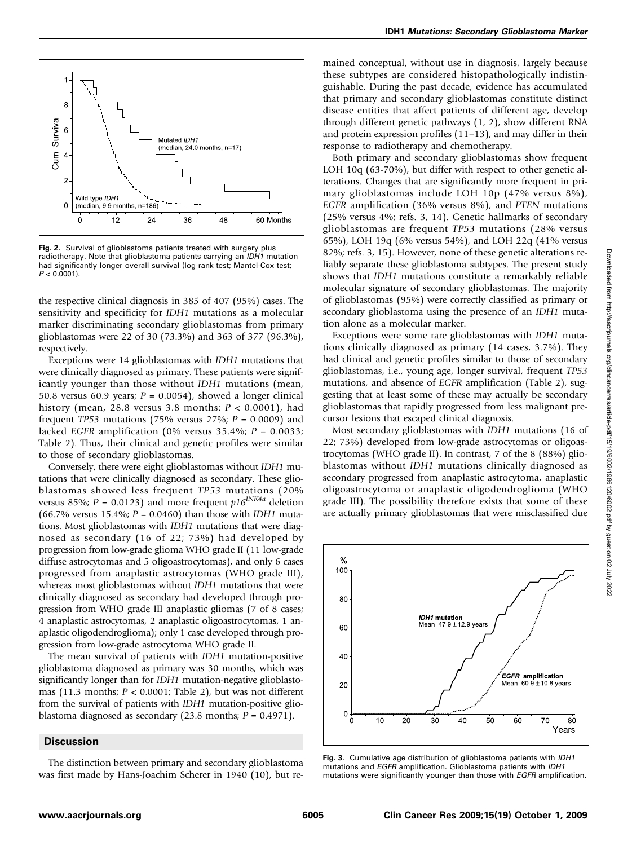

Fig. 2. Survival of glioblastoma patients treated with surgery plus radiotherapy. Note that glioblastoma patients carrying an IDH1 mutation had significantly longer overall survival (log-rank test; Mantel-Cox test;  $P < 0.0001$ ).

the respective clinical diagnosis in 385 of 407 (95%) cases. The sensitivity and specificity for IDH1 mutations as a molecular marker discriminating secondary glioblastomas from primary glioblastomas were 22 of 30 (73.3%) and 363 of 377 (96.3%), respectively.

Exceptions were 14 glioblastomas with IDH1 mutations that were clinically diagnosed as primary. These patients were significantly younger than those without IDH1 mutations (mean, 50.8 versus 60.9 years;  $P = 0.0054$ ), showed a longer clinical history (mean, 28.8 versus 3.8 months:  $P < 0.0001$ ), had frequent TP53 mutations (75% versus 27%;  $P = 0.0009$ ) and lacked EGFR amplification (0% versus 35.4%;  $P = 0.0033$ ; Table 2). Thus, their clinical and genetic profiles were similar to those of secondary glioblastomas.

Conversely, there were eight glioblastomas without IDH1 mutations that were clinically diagnosed as secondary. These glioblastomas showed less frequent TP53 mutations (20% versus 85%;  $P = 0.0123$ ) and more frequent  $p16^{INK4a}$  deletion (66.7% versus 15.4%;  $P = 0.0460$ ) than those with *IDH1* mutations. Most glioblastomas with IDH1 mutations that were diagnosed as secondary (16 of 22; 73%) had developed by progression from low-grade glioma WHO grade II (11 low-grade diffuse astrocytomas and 5 oligoastrocytomas), and only 6 cases progressed from anaplastic astrocytomas (WHO grade III), whereas most glioblastomas without IDH1 mutations that were clinically diagnosed as secondary had developed through progression from WHO grade III anaplastic gliomas (7 of 8 cases; 4 anaplastic astrocytomas, 2 anaplastic oligoastrocytomas, 1 anaplastic oligodendroglioma); only 1 case developed through progression from low-grade astrocytoma WHO grade II.

The mean survival of patients with IDH1 mutation-positive glioblastoma diagnosed as primary was 30 months, which was significantly longer than for IDH1 mutation-negative glioblastomas (11.3 months;  $P < 0.0001$ ; Table 2), but was not different from the survival of patients with IDH1 mutation-positive glioblastoma diagnosed as secondary (23.8 months;  $P = 0.4971$ ).

#### **Discussion**

The distinction between primary and secondary glioblastoma was first made by Hans-Joachim Scherer in 1940 (10), but remained conceptual, without use in diagnosis, largely because these subtypes are considered histopathologically indistinguishable. During the past decade, evidence has accumulated that primary and secondary glioblastomas constitute distinct disease entities that affect patients of different age, develop through different genetic pathways (1, 2), show different RNA and protein expression profiles (11–13), and may differ in their response to radiotherapy and chemotherapy.

Both primary and secondary glioblastomas show frequent LOH 10q (63-70%), but differ with respect to other genetic alterations. Changes that are significantly more frequent in primary glioblastomas include LOH 10p (47% versus 8%), EGFR amplification (36% versus 8%), and PTEN mutations (25% versus 4%; refs. 3, 14). Genetic hallmarks of secondary glioblastomas are frequent TP53 mutations (28% versus 65%), LOH 19q (6% versus 54%), and LOH 22q (41% versus 82%; refs. 3, 15). However, none of these genetic alterations reliably separate these glioblastoma subtypes. The present study shows that IDH1 mutations constitute a remarkably reliable molecular signature of secondary glioblastomas. The majority of glioblastomas (95%) were correctly classified as primary or secondary glioblastoma using the presence of an IDH1 mutation alone as a molecular marker.

Exceptions were some rare glioblastomas with IDH1 mutations clinically diagnosed as primary (14 cases, 3.7%). They had clinical and genetic profiles similar to those of secondary glioblastomas, i.e., young age, longer survival, frequent TP53 mutations, and absence of EGFR amplification (Table 2), suggesting that at least some of these may actually be secondary glioblastomas that rapidly progressed from less malignant precursor lesions that escaped clinical diagnosis.

Most secondary glioblastomas with IDH1 mutations (16 of 22; 73%) developed from low-grade astrocytomas or oligoastrocytomas (WHO grade II). In contrast, 7 of the 8 (88%) glioblastomas without IDH1 mutations clinically diagnosed as secondary progressed from anaplastic astrocytoma, anaplastic oligoastrocytoma or anaplastic oligodendroglioma (WHO grade III). The possibility therefore exists that some of these are actually primary glioblastomas that were misclassified due



Fig. 3. Cumulative age distribution of glioblastoma patients with IDH1 mutations and EGFR amplification. Glioblastoma patients with IDH1 mutations were significantly younger than those with EGFR amplification.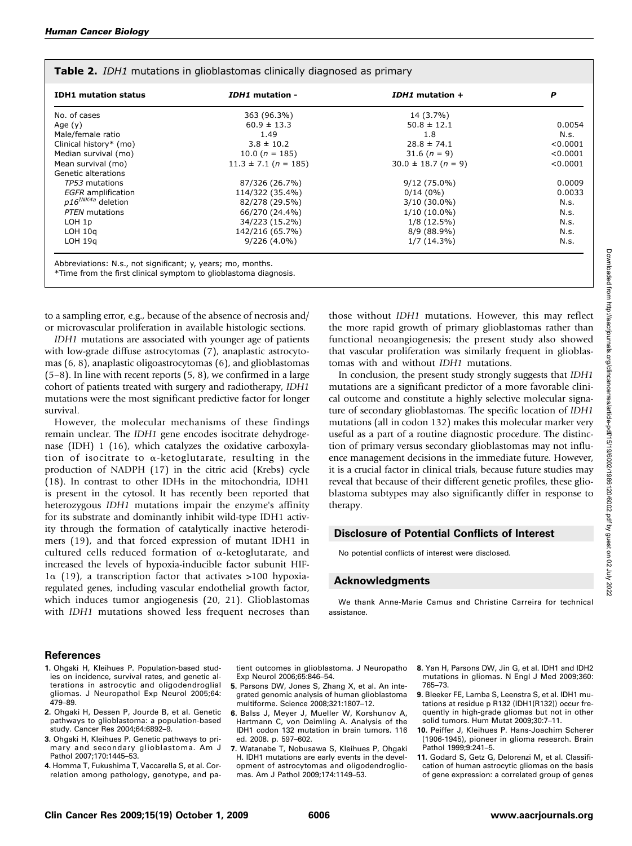| <b>IDH1</b> mutation status | IDH1 mutation -          | IDH1 mutation +         | P        |
|-----------------------------|--------------------------|-------------------------|----------|
| No. of cases                | 363 (96.3%)              | 14 (3.7%)               |          |
| Age $(y)$                   | $60.9 \pm 13.3$          | $50.8 \pm 12.1$         | 0.0054   |
| Male/female ratio           | 1.49                     | 1.8                     | N.s.     |
| Clinical history* (mo)      | $3.8 \pm 10.2$           | $28.8 \pm 74.1$         | < 0.0001 |
| Median survival (mo)        | 10.0 ( $n = 185$ )       | $31.6 (n = 9)$          | < 0.0001 |
| Mean survival (mo)          | $11.3 \pm 7.1$ (n = 185) | $30.0 \pm 18.7 (n = 9)$ | < 0.0001 |
| Genetic alterations         |                          |                         |          |
| TP53 mutations              | 87/326 (26.7%)           | $9/12(75.0\%)$          | 0.0009   |
| <b>EGFR</b> amplification   | 114/322 (35.4%)          | $0/14(0\%)$             | 0.0033   |
| $p16^{INK4a}$ deletion      | 82/278 (29.5%)           | $3/10(30.0\%)$          | N.s.     |
| PTEN mutations              | 66/270 (24.4%)           | $1/10(10.0\%)$          | N.s.     |
| LOH 1p                      | 34/223 (15.2%)           | $1/8(12.5\%)$           | N.s.     |
| $LOH$ 10 $q$                | 142/216 (65.7%)          | 8/9 (88.9%)             | N.s.     |
| $LOH$ 19 $q$                | $9/226(4.0\%)$           | $1/7(14.3\%)$           | N.s.     |

#### **Table 2.** *IDH1* mutations in glioblastomas clinically diagnosed as primary

Abbreviations: N.s., not significant; y, years; mo, months.

\*Time from the first clinical symptom to glioblastoma diagnosis.

to a sampling error, e.g., because of the absence of necrosis and/ or microvascular proliferation in available histologic sections.

IDH1 mutations are associated with younger age of patients with low-grade diffuse astrocytomas (7), anaplastic astrocytomas (6, 8), anaplastic oligoastrocytomas (6), and glioblastomas  $(5-8)$ . In line with recent reports  $(5, 8)$ , we confirmed in a large cohort of patients treated with surgery and radiotherapy, IDH1 mutations were the most significant predictive factor for longer survival.

However, the molecular mechanisms of these findings remain unclear. The IDH1 gene encodes isocitrate dehydrogenase (IDH) 1 (16), which catalyzes the oxidative carboxylation of isocitrate to α-ketoglutarate, resulting in the production of NADPH (17) in the citric acid (Krebs) cycle (18). In contrast to other IDHs in the mitochondria, IDH1 is present in the cytosol. It has recently been reported that heterozygous IDH1 mutations impair the enzyme's affinity for its substrate and dominantly inhibit wild-type IDH1 activity through the formation of catalytically inactive heterodimers (19), and that forced expression of mutant IDH1 in cultured cells reduced formation of α-ketoglutarate, and increased the levels of hypoxia-inducible factor subunit HIF- $1\alpha$  (19), a transcription factor that activates >100 hypoxiaregulated genes, including vascular endothelial growth factor, which induces tumor angiogenesis (20, 21). Glioblastomas with IDH1 mutations showed less frequent necroses than

those without IDH1 mutations. However, this may reflect the more rapid growth of primary glioblastomas rather than functional neoangiogenesis; the present study also showed that vascular proliferation was similarly frequent in glioblastomas with and without IDH1 mutations.

In conclusion, the present study strongly suggests that IDH1 mutations are a significant predictor of a more favorable clinical outcome and constitute a highly selective molecular signature of secondary glioblastomas. The specific location of IDH1 mutations (all in codon 132) makes this molecular marker very useful as a part of a routine diagnostic procedure. The distinction of primary versus secondary glioblastomas may not influence management decisions in the immediate future. However, it is a crucial factor in clinical trials, because future studies may reveal that because of their different genetic profiles, these glioblastoma subtypes may also significantly differ in response to therapy.

# Disclosure of Potential Conflicts of Interest

No potential conflicts of interest were disclosed.

# Acknowledgments

We thank Anne-Marie Camus and Christine Carreira for technical assistance.

## References

- 1. Ohgaki H, Kleihues P. Population-based studies on incidence, survival rates, and genetic alterations in astrocytic and oligodendroglial gliomas. J Neuropathol Exp Neurol 2005;64: 479–89.
- 2. Ohgaki H, Dessen P, Jourde B, et al. Genetic pathways to glioblastoma: a population-based study. Cancer Res 2004;64:6892–9.
- 3. Ohgaki H, Kleihues P. Genetic pathways to primary and secondary glioblastoma. Am J Pathol 2007;170:1445–53.
- 4. Homma T, Fukushima T, Vaccarella S, et al. Correlation among pathology, genotype, and pa-
- tient outcomes in glioblastoma. J Neuropatho Exp Neurol 2006;65:846–54.
- 5. Parsons DW, Jones S, Zhang X, et al. An integrated genomic analysis of human glioblastoma multiforme. Science 2008;321:1807–12.
- 6. Balss J, Meyer J, Mueller W, Korshunov A, Hartmann C, von Deimling A. Analysis of the IDH1 codon 132 mutation in brain tumors. 116 ed. 2008. p. 597–602.
- 7. Watanabe T, Nobusawa S, Kleihues P, Ohgaki H. IDH1 mutations are early events in the development of astrocytomas and oligodendrogliomas. Am J Pathol 2009;174:1149–53.
- 8. Yan H, Parsons DW, Jin G, et al. IDH1 and IDH2 mutations in gliomas. N Engl J Med 2009;360: 765–73.
- 9. Bleeker FE, Lamba S, Leenstra S, et al. IDH1 mutations at residue p R132 (IDH1(R132)) occur frequently in high-grade gliomas but not in other solid tumors. Hum Mutat 2009;30:7–11.
- 10. Peiffer J, Kleihues P. Hans-Joachim Scherer (1906-1945), pioneer in glioma research. Brain Pathol 1999;9:241–5.
- 11. Godard S, Getz G, Delorenzi M, et al. Classification of human astrocytic gliomas on the basis of gene expression: a correlated group of genes